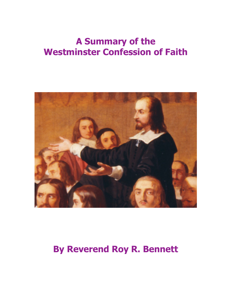# **A Summary of the Westminster Confession of Faith**



# **By Reverend Roy R. Bennett**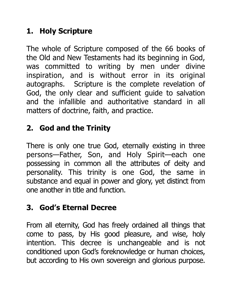# **1. Holy Scripture**

The whole of Scripture composed of the 66 books of the Old and New Testaments had its beginning in God, was committed to writing by men under divine inspiration, and is without error in its original autographs. Scripture is the complete revelation of God, the only clear and sufficient guide to salvation and the infallible and authoritative standard in all matters of doctrine, faith, and practice.

# **2. God and the Trinity**

There is only one true God, eternally existing in three persons—Father, Son, and Holy Spirit—each one possessing in common all the attributes of deity and personality. This trinity is one God, the same in substance and equal in power and glory, yet distinct from one another in title and function.

#### **3. God's Eternal Decree**

From all eternity, God has freely ordained all things that come to pass, by His good pleasure, and wise, holy intention. This decree is unchangeable and is not conditioned upon God's foreknowledge or human choices, but according to His own sovereign and glorious purpose.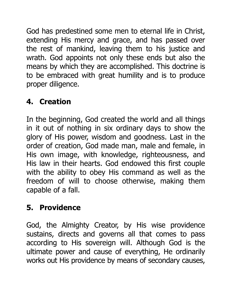God has predestined some men to eternal life in Christ, extending His mercy and grace, and has passed over the rest of mankind, leaving them to his justice and wrath. God appoints not only these ends but also the means by which they are accomplished. This doctrine is to be embraced with great humility and is to produce proper diligence.

# **4. Creation**

In the beginning, God created the world and all things in it out of nothing in six ordinary days to show the glory of His power, wisdom and goodness. Last in the order of creation, God made man, male and female, in His own image, with knowledge, righteousness, and His law in their hearts. God endowed this first couple with the ability to obey His command as well as the freedom of will to choose otherwise, making them capable of a fall.

#### **5. Providence**

God, the Almighty Creator, by His wise providence sustains, directs and governs all that comes to pass according to His sovereign will. Although God is the ultimate power and cause of everything, He ordinarily works out His providence by means of secondary causes,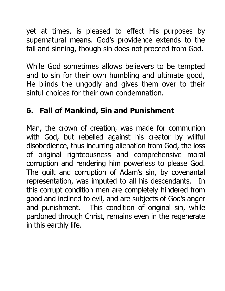yet at times, is pleased to effect His purposes by supernatural means. God's providence extends to the fall and sinning, though sin does not proceed from God.

While God sometimes allows believers to be tempted and to sin for their own humbling and ultimate good, He blinds the ungodly and gives them over to their sinful choices for their own condemnation.

#### **6. Fall of Mankind, Sin and Punishment**

Man, the crown of creation, was made for communion with God, but rebelled against his creator by willful disobedience, thus incurring alienation from God, the loss of original righteousness and comprehensive moral corruption and rendering him powerless to please God. The guilt and corruption of Adam's sin, by covenantal representation, was imputed to all his descendants. In this corrupt condition men are completely hindered from good and inclined to evil, and are subjects of God's anger and punishment. This condition of original sin, while pardoned through Christ, remains even in the regenerate in this earthly life.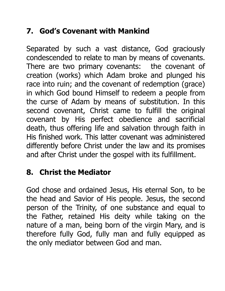# **7. God's Covenant with Mankind**

Separated by such a vast distance, God graciously condescended to relate to man by means of covenants. There are two primary covenants: the covenant of creation (works) which Adam broke and plunged his race into ruin; and the covenant of redemption (grace) in which God bound Himself to redeem a people from the curse of Adam by means of substitution. In this second covenant, Christ came to fulfill the original covenant by His perfect obedience and sacrificial death, thus offering life and salvation through faith in His finished work. This latter covenant was administered differently before Christ under the law and its promises and after Christ under the gospel with its fulfillment.

#### **8. Christ the Mediator**

God chose and ordained Jesus, His eternal Son, to be the head and Savior of His people. Jesus, the second person of the Trinity, of one substance and equal to the Father, retained His deity while taking on the nature of a man, being born of the virgin Mary, and is therefore fully God, fully man and fully equipped as the only mediator between God and man.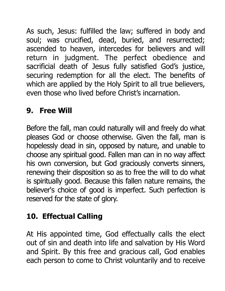As such, Jesus: fulfilled the law; suffered in body and soul; was crucified, dead, buried, and resurrected; ascended to heaven, intercedes for believers and will return in judgment. The perfect obedience and sacrificial death of Jesus fully satisfied God's justice, securing redemption for all the elect. The benefits of which are applied by the Holy Spirit to all true believers, even those who lived before Christ's incarnation.

# **9. Free Will**

Before the fall, man could naturally will and freely do what pleases God or choose otherwise. Given the fall, man is hopelessly dead in sin, opposed by nature, and unable to choose any spiritual good. Fallen man can in no way affect his own conversion, but God graciously converts sinners, renewing their disposition so as to free the will to do what is spiritually good. Because this fallen nature remains, the believer's choice of good is imperfect. Such perfection is reserved for the state of glory.

# **10. Effectual Calling**

At His appointed time, God effectually calls the elect out of sin and death into life and salvation by His Word and Spirit. By this free and gracious call, God enables each person to come to Christ voluntarily and to receive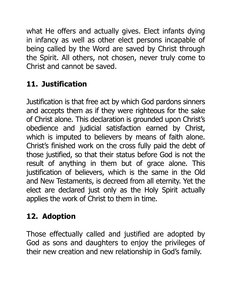what He offers and actually gives. Elect infants dying in infancy as well as other elect persons incapable of being called by the Word are saved by Christ through the Spirit. All others, not chosen, never truly come to Christ and cannot be saved.

# **11. Justification**

Justification is that free act by which God pardons sinners and accepts them as if they were righteous for the sake of Christ alone. This declaration is grounded upon Christ's obedience and judicial satisfaction earned by Christ, which is imputed to believers by means of faith alone. Christ's finished work on the cross fully paid the debt of those justified, so that their status before God is not the result of anything in them but of grace alone. This justification of believers, which is the same in the Old and New Testaments, is decreed from all eternity. Yet the elect are declared just only as the Holy Spirit actually applies the work of Christ to them in time.

## **12. Adoption**

Those effectually called and justified are adopted by God as sons and daughters to enjoy the privileges of their new creation and new relationship in God's family.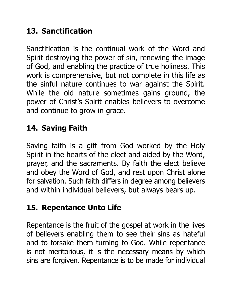# **13. Sanctification**

Sanctification is the continual work of the Word and Spirit destroying the power of sin, renewing the image of God, and enabling the practice of true holiness. This work is comprehensive, but not complete in this life as the sinful nature continues to war against the Spirit. While the old nature sometimes gains ground, the power of Christ's Spirit enables believers to overcome and continue to grow in grace.

# **14. Saving Faith**

Saving faith is a gift from God worked by the Holy Spirit in the hearts of the elect and aided by the Word, prayer, and the sacraments. By faith the elect believe and obey the Word of God, and rest upon Christ alone for salvation. Such faith differs in degree among believers and within individual believers, but always bears up.

## **15. Repentance Unto Life**

Repentance is the fruit of the gospel at work in the lives of believers enabling them to see their sins as hateful and to forsake them turning to God. While repentance is not meritorious, it is the necessary means by which sins are forgiven. Repentance is to be made for individual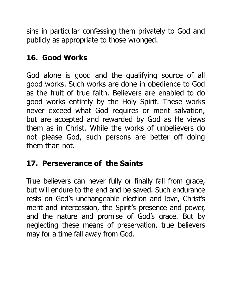sins in particular confessing them privately to God and publicly as appropriate to those wronged.

#### **16. Good Works**

God alone is good and the qualifying source of all good works. Such works are done in obedience to God as the fruit of true faith. Believers are enabled to do good works entirely by the Holy Spirit. These works never exceed what God requires or merit salvation, but are accepted and rewarded by God as He views them as in Christ. While the works of unbelievers do not please God, such persons are better off doing them than not.

## **17. Perseverance of the Saints**

True believers can never fully or finally fall from grace, but will endure to the end and be saved. Such endurance rests on God's unchangeable election and love, Christ's merit and intercession, the Spirit's presence and power, and the nature and promise of God's grace. But by neglecting these means of preservation, true believers may for a time fall away from God.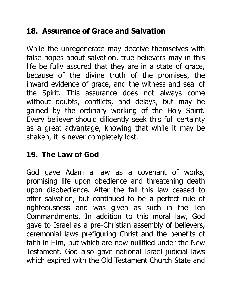# **18. Assurance of Grace and Salvation**

While the unregenerate may deceive themselves with false hopes about salvation, true believers may in this life be fully assured that they are in a state of grace, because of the divine truth of the promises, the inward evidence of grace, and the witness and seal of the Spirit. This assurance does not always come without doubts, conflicts, and delays, but may be gained by the ordinary working of the Holy Spirit. Every believer should diligently seek this full certainty as a great advantage, knowing that while it may be shaken, it is never completely lost.

## **19. The Law of God**

God gave Adam a law as a covenant of works, promising life upon obedience and threatening death upon disobedience. After the fall this law ceased to offer salvation, but continued to be a perfect rule of righteousness and was given as such in the Ten Commandments. In addition to this moral law, God gave to Israel as a pre-Christian assembly of believers, ceremonial laws prefiguring Christ and the benefits of faith in Him, but which are now nullified under the New Testament. God also gave national Israel judicial laws which expired with the Old Testament Church State and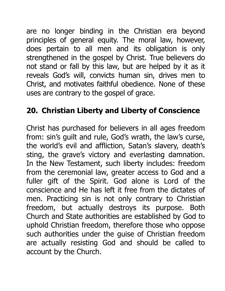are no longer binding in the Christian era beyond principles of general equity. The moral law, however, does pertain to all men and its obligation is only strengthened in the gospel by Christ. True believers do not stand or fall by this law, but are helped by it as it reveals God's will, convicts human sin, drives men to Christ, and motivates faithful obedience. None of these uses are contrary to the gospel of grace.

### **20. Christian Liberty and Liberty of Conscience**

Christ has purchased for believers in all ages freedom from: sin's guilt and rule, God's wrath, the law's curse, the world's evil and affliction, Satan's slavery, death's sting, the grave's victory and everlasting damnation. In the New Testament, such liberty includes: freedom from the ceremonial law, greater access to God and a fuller gift of the Spirit. God alone is Lord of the conscience and He has left it free from the dictates of men. Practicing sin is not only contrary to Christian freedom, but actually destroys its purpose. Both Church and State authorities are established by God to uphold Christian freedom, therefore those who oppose such authorities under the guise of Christian freedom are actually resisting God and should be called to account by the Church.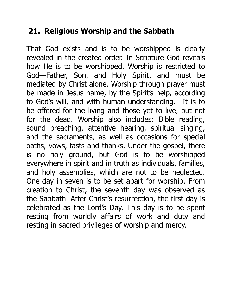#### **21. Religious Worship and the Sabbath**

That God exists and is to be worshipped is clearly revealed in the created order. In Scripture God reveals how He is to be worshipped. Worship is restricted to God—Father, Son, and Holy Spirit, and must be mediated by Christ alone. Worship through prayer must be made in Jesus name, by the Spirit's help, according to God's will, and with human understanding. It is to be offered for the living and those yet to live, but not for the dead. Worship also includes: Bible reading, sound preaching, attentive hearing, spiritual singing, and the sacraments, as well as occasions for special oaths, vows, fasts and thanks. Under the gospel, there is no holy ground, but God is to be worshipped everywhere in spirit and in truth as individuals, families, and holy assemblies, which are not to be neglected. One day in seven is to be set apart for worship. From creation to Christ, the seventh day was observed as the Sabbath. After Christ's resurrection, the first day is celebrated as the Lord's Day. This day is to be spent resting from worldly affairs of work and duty and resting in sacred privileges of worship and mercy.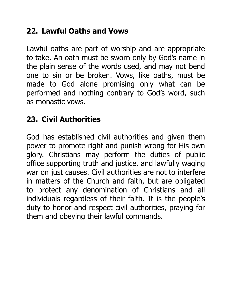## **22. Lawful Oaths and Vows**

Lawful oaths are part of worship and are appropriate to take. An oath must be sworn only by God's name in the plain sense of the words used, and may not bend one to sin or be broken. Vows, like oaths, must be made to God alone promising only what can be performed and nothing contrary to God's word, such as monastic vows.

## **23. Civil Authorities**

God has established civil authorities and given them power to promote right and punish wrong for His own glory. Christians may perform the duties of public office supporting truth and justice, and lawfully waging war on just causes. Civil authorities are not to interfere in matters of the Church and faith, but are obligated to protect any denomination of Christians and all individuals regardless of their faith. It is the people's duty to honor and respect civil authorities, praying for them and obeying their lawful commands.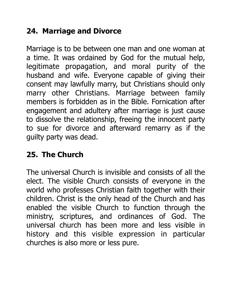# **24. Marriage and Divorce**

Marriage is to be between one man and one woman at a time. It was ordained by God for the mutual help, legitimate propagation, and moral purity of the husband and wife. Everyone capable of giving their consent may lawfully marry, but Christians should only marry other Christians. Marriage between family members is forbidden as in the Bible. Fornication after engagement and adultery after marriage is just cause to dissolve the relationship, freeing the innocent party to sue for divorce and afterward remarry as if the guilty party was dead.

## **25. The Church**

The universal Church is invisible and consists of all the elect. The visible Church consists of everyone in the world who professes Christian faith together with their children. Christ is the only head of the Church and has enabled the visible Church to function through the ministry, scriptures, and ordinances of God. The universal church has been more and less visible in history and this visible expression in particular churches is also more or less pure.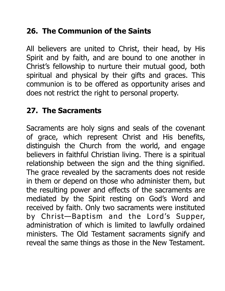# **26. The Communion of the Saints**

All believers are united to Christ, their head, by His Spirit and by faith, and are bound to one another in Christ's fellowship to nurture their mutual good, both spiritual and physical by their gifts and graces. This communion is to be offered as opportunity arises and does not restrict the right to personal property.

### **27. The Sacraments**

Sacraments are holy signs and seals of the covenant of grace, which represent Christ and His benefits, distinguish the Church from the world, and engage believers in faithful Christian living. There is a spiritual relationship between the sign and the thing signified. The grace revealed by the sacraments does not reside in them or depend on those who administer them, but the resulting power and effects of the sacraments are mediated by the Spirit resting on God's Word and received by faith. Only two sacraments were instituted by Christ—Baptism and the Lord's Supper, administration of which is limited to lawfully ordained ministers. The Old Testament sacraments signify and reveal the same things as those in the New Testament.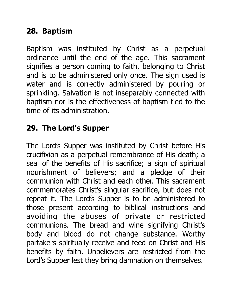# **28. Baptism**

Baptism was instituted by Christ as a perpetual ordinance until the end of the age. This sacrament signifies a person coming to faith, belonging to Christ and is to be administered only once. The sign used is water and is correctly administered by pouring or sprinkling. Salvation is not inseparably connected with baptism nor is the effectiveness of baptism tied to the time of its administration.

# **29. The Lord's Supper**

The Lord's Supper was instituted by Christ before His crucifixion as a perpetual remembrance of His death; a seal of the benefits of His sacrifice; a sign of spiritual nourishment of believers; and a pledge of their communion with Christ and each other. This sacrament commemorates Christ's singular sacrifice, but does not repeat it. The Lord's Supper is to be administered to those present according to biblical instructions and avoiding the abuses of private or restricted communions. The bread and wine signifying Christ's body and blood do not change substance. Worthy partakers spiritually receive and feed on Christ and His benefits by faith. Unbelievers are restricted from the Lord's Supper lest they bring damnation on themselves.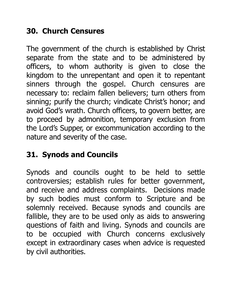# **30. Church Censures**

The government of the church is established by Christ separate from the state and to be administered by officers, to whom authority is given to close the kingdom to the unrepentant and open it to repentant sinners through the gospel. Church censures are necessary to: reclaim fallen believers; turn others from sinning; purify the church; vindicate Christ's honor; and avoid God's wrath. Church officers, to govern better, are to proceed by admonition, temporary exclusion from the Lord's Supper, or excommunication according to the nature and severity of the case.

## **31. Synods and Councils**

Synods and councils ought to be held to settle controversies; establish rules for better government, and receive and address complaints. Decisions made by such bodies must conform to Scripture and be solemnly received. Because synods and councils are fallible, they are to be used only as aids to answering questions of faith and living. Synods and councils are to be occupied with Church concerns exclusively except in extraordinary cases when advice is requested by civil authorities.